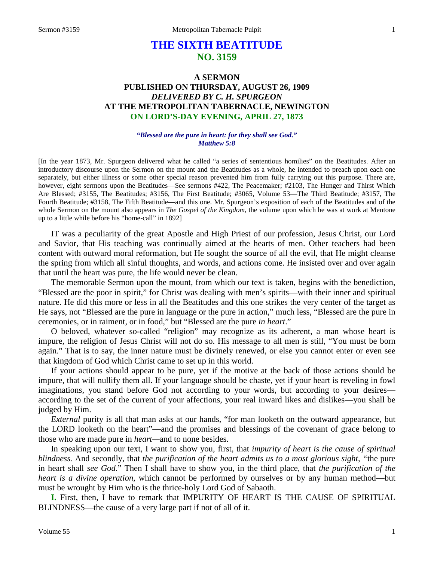# **THE SIXTH BEATITUDE NO. 3159**

## **A SERMON PUBLISHED ON THURSDAY, AUGUST 26, 1909** *DELIVERED BY C. H. SPURGEON* **AT THE METROPOLITAN TABERNACLE, NEWINGTON ON LORD'S-DAY EVENING, APRIL 27, 1873**

#### *"Blessed are the pure in heart: for they shall see God." Matthew 5:8*

[In the year 1873, Mr. Spurgeon delivered what he called "a series of sententious homilies" on the Beatitudes. After an introductory discourse upon the Sermon on the mount and the Beatitudes as a whole, he intended to preach upon each one separately, but either illness or some other special reason prevented him from fully carrying out this purpose. There are, however, eight sermons upon the Beatitudes—See sermons #422, The Peacemaker; #2103, The Hunger and Thirst Which Are Blessed; #3155, The Beatitudes; #3156, The First Beatitude; #3065, Volume 53—The Third Beatitude; #3157, The Fourth Beatitude; #3158, The Fifth Beatitude—and this one. Mr. Spurgeon's exposition of each of the Beatitudes and of the whole Sermon on the mount also appears in *The Gospel of the Kingdom*, the volume upon which he was at work at Mentone up to a little while before his "home-call" in 1892]

IT was a peculiarity of the great Apostle and High Priest of our profession, Jesus Christ, our Lord and Savior, that His teaching was continually aimed at the hearts of men. Other teachers had been content with outward moral reformation, but He sought the source of all the evil, that He might cleanse the spring from which all sinful thoughts, and words, and actions come. He insisted over and over again that until the heart was pure, the life would never be clean.

The memorable Sermon upon the mount, from which our text is taken, begins with the benediction, "Blessed are the poor in spirit," for Christ was dealing with men's spirits—with their inner and spiritual nature. He did this more or less in all the Beatitudes and this one strikes the very center of the target as He says, not "Blessed are the pure in language or the pure in action," much less, "Blessed are the pure in ceremonies, or in raiment, or in food," but "Blessed are the pure *in heart*."

O beloved, whatever so-called "religion" may recognize as its adherent, a man whose heart is impure, the religion of Jesus Christ will not do so. His message to all men is still, "You must be born again." That is to say, the inner nature must be divinely renewed, or else you cannot enter or even see that kingdom of God which Christ came to set up in this world.

If your actions should appear to be pure, yet if the motive at the back of those actions should be impure, that will nullify them all. If your language should be chaste, yet if your heart is reveling in fowl imaginations, you stand before God not according to your words, but according to your desires according to the set of the current of your affections, your real inward likes and dislikes—you shall be judged by Him.

*External* purity is all that man asks at our hands, "for man looketh on the outward appearance, but the LORD looketh on the heart"—and the promises and blessings of the covenant of grace belong to those who are made pure in *heart—*and to none besides.

In speaking upon our text, I want to show you, first, that *impurity of heart is the cause of spiritual blindness.* And secondly, that *the purification of the heart admits us to a most glorious sight, "*the pure in heart shall *see God*." Then I shall have to show you, in the third place, that *the purification of the heart is a divine operation*, which cannot be performed by ourselves or by any human method—but must be wrought by Him who is the thrice-holy Lord God of Sabaoth.

**I.** First, then, I have to remark that IMPURITY OF HEART IS THE CAUSE OF SPIRITUAL BLINDNESS—the cause of a very large part if not of all of it.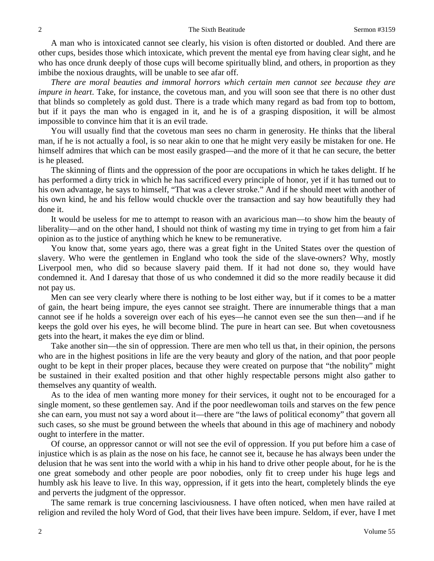A man who is intoxicated cannot see clearly, his vision is often distorted or doubled. And there are other cups, besides those which intoxicate, which prevent the mental eye from having clear sight, and he who has once drunk deeply of those cups will become spiritually blind, and others, in proportion as they imbibe the noxious draughts, will be unable to see afar off.

*There are moral beauties and immoral horrors which certain men cannot see because they are impure in heart*. Take, for instance, the covetous man, and you will soon see that there is no other dust that blinds so completely as gold dust. There is a trade which many regard as bad from top to bottom, but if it pays the man who is engaged in it, and he is of a grasping disposition, it will be almost impossible to convince him that it is an evil trade.

You will usually find that the covetous man sees no charm in generosity. He thinks that the liberal man, if he is not actually a fool, is so near akin to one that he might very easily be mistaken for one. He himself admires that which can be most easily grasped—and the more of it that he can secure, the better is he pleased.

The skinning of flints and the oppression of the poor are occupations in which he takes delight. If he has performed a dirty trick in which he has sacrificed every principle of honor, yet if it has turned out to his own advantage, he says to himself, "That was a clever stroke." And if he should meet with another of his own kind, he and his fellow would chuckle over the transaction and say how beautifully they had done it.

It would be useless for me to attempt to reason with an avaricious man—to show him the beauty of liberality—and on the other hand, I should not think of wasting my time in trying to get from him a fair opinion as to the justice of anything which he knew to be remunerative.

You know that, some years ago, there was a great fight in the United States over the question of slavery. Who were the gentlemen in England who took the side of the slave-owners? Why, mostly Liverpool men, who did so because slavery paid them. If it had not done so, they would have condemned it. And I daresay that those of us who condemned it did so the more readily because it did not pay us.

Men can see very clearly where there is nothing to be lost either way, but if it comes to be a matter of gain, the heart being impure, the eyes cannot see straight. There are innumerable things that a man cannot see if he holds a sovereign over each of his eyes—he cannot even see the sun then—and if he keeps the gold over his eyes, he will become blind. The pure in heart can see. But when covetousness gets into the heart, it makes the eye dim or blind.

Take another sin—the sin of oppression. There are men who tell us that, in their opinion, the persons who are in the highest positions in life are the very beauty and glory of the nation, and that poor people ought to be kept in their proper places, because they were created on purpose that "the nobility" might be sustained in their exalted position and that other highly respectable persons might also gather to themselves any quantity of wealth.

As to the idea of men wanting more money for their services, it ought not to be encouraged for a single moment, so these gentlemen say. And if the poor needlewoman toils and starves on the few pence she can earn, you must not say a word about it—there are "the laws of political economy" that govern all such cases, so she must be ground between the wheels that abound in this age of machinery and nobody ought to interfere in the matter.

Of course, an oppressor cannot or will not see the evil of oppression. If you put before him a case of injustice which is as plain as the nose on his face, he cannot see it, because he has always been under the delusion that he was sent into the world with a whip in his hand to drive other people about, for he is the one great somebody and other people are poor nobodies, only fit to creep under his huge legs and humbly ask his leave to live. In this way, oppression, if it gets into the heart, completely blinds the eye and perverts the judgment of the oppressor.

The same remark is true concerning lasciviousness. I have often noticed, when men have railed at religion and reviled the holy Word of God, that their lives have been impure. Seldom, if ever, have I met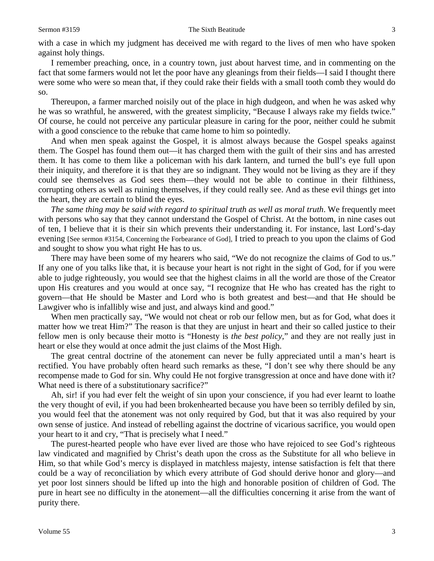with a case in which my judgment has deceived me with regard to the lives of men who have spoken against holy things.

I remember preaching, once, in a country town, just about harvest time, and in commenting on the fact that some farmers would not let the poor have any gleanings from their fields—I said I thought there were some who were so mean that, if they could rake their fields with a small tooth comb they would do so.

Thereupon, a farmer marched noisily out of the place in high dudgeon, and when he was asked why he was so wrathful, he answered, with the greatest simplicity, "Because I always rake my fields twice." Of course, he could not perceive any particular pleasure in caring for the poor, neither could he submit with a good conscience to the rebuke that came home to him so pointedly.

And when men speak against the Gospel, it is almost always because the Gospel speaks against them. The Gospel has found them out—it has charged them with the guilt of their sins and has arrested them. It has come to them like a policeman with his dark lantern, and turned the bull's eye full upon their iniquity, and therefore it is that they are so indignant. They would not be living as they are if they could see themselves as God sees them—they would not be able to continue in their filthiness, corrupting others as well as ruining themselves, if they could really see. And as these evil things get into the heart, they are certain to blind the eyes.

*The same thing may be said with regard to spiritual truth as well as moral truth*. We frequently meet with persons who say that they cannot understand the Gospel of Christ. At the bottom, in nine cases out of ten, I believe that it is their sin which prevents their understanding it. For instance, last Lord's-day evening [See sermon #3154, Concerning the Forbearance of God], I tried to preach to you upon the claims of God and sought to show you what right He has to us.

There may have been some of my hearers who said, "We do not recognize the claims of God to us." If any one of you talks like that, it is because your heart is not right in the sight of God, for if you were able to judge righteously, you would see that the highest claims in all the world are those of the Creator upon His creatures and you would at once say, "I recognize that He who has created has the right to govern—that He should be Master and Lord who is both greatest and best—and that He should be Lawgiver who is infallibly wise and just, and always kind and good."

When men practically say, "We would not cheat or rob our fellow men, but as for God, what does it matter how we treat Him?" The reason is that they are unjust in heart and their so called justice to their fellow men is only because their motto is "Honesty is *the best policy,*" and they are not really just in heart or else they would at once admit the just claims of the Most High.

The great central doctrine of the atonement can never be fully appreciated until a man's heart is rectified. You have probably often heard such remarks as these, "I don't see why there should be any recompense made to God for sin. Why could He not forgive transgression at once and have done with it? What need is there of a substitutionary sacrifice?"

Ah, sir! if you had ever felt the weight of sin upon your conscience, if you had ever learnt to loathe the very thought of evil, if you had been brokenhearted because you have been so terribly defiled by sin, you would feel that the atonement was not only required by God, but that it was also required by your own sense of justice. And instead of rebelling against the doctrine of vicarious sacrifice, you would open your heart to it and cry, "That is precisely what I need."

The purest-hearted people who have ever lived are those who have rejoiced to see God's righteous law vindicated and magnified by Christ's death upon the cross as the Substitute for all who believe in Him, so that while God's mercy is displayed in matchless majesty, intense satisfaction is felt that there could be a way of reconciliation by which every attribute of God should derive honor and glory—and yet poor lost sinners should be lifted up into the high and honorable position of children of God. The pure in heart see no difficulty in the atonement—all the difficulties concerning it arise from the want of purity there.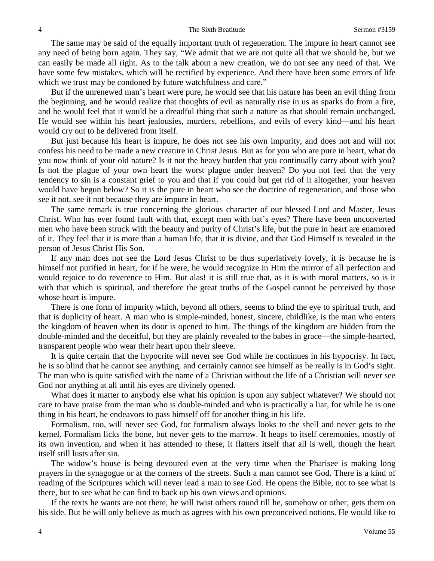The same may be said of the equally important truth of regeneration. The impure in heart cannot see any need of being born again. They say, "We admit that we are not quite all that we should be, but we can easily be made all right. As to the talk about a new creation, we do not see any need of that. We have some few mistakes, which will be rectified by experience. And there have been some errors of life which we trust may be condoned by future watchfulness and care."

But if the unrenewed man's heart were pure, he would see that his nature has been an evil thing from the beginning, and he would realize that thoughts of evil as naturally rise in us as sparks do from a fire, and he would feel that it would be a dreadful thing that such a nature as that should remain unchanged. He would see within his heart jealousies, murders, rebellions, and evils of every kind—and his heart would cry out to be delivered from itself.

But just because his heart is impure, he does not see his own impurity, and does not and will not confess his need to be made a new creature in Christ Jesus. But as for you who are pure in heart, what do you now think of your old nature? Is it not the heavy burden that you continually carry about with you? Is not the plague of your own heart the worst plague under heaven? Do you not feel that the very tendency to sin is a constant grief to you and that if you could but get rid of it altogether, your heaven would have begun below? So it is the pure in heart who see the doctrine of regeneration, and those who see it not, see it not because they are impure in heart.

The same remark is true concerning the glorious character of our blessed Lord and Master, Jesus Christ. Who has ever found fault with that, except men with bat's eyes? There have been unconverted men who have been struck with the beauty and purity of Christ's life, but the pure in heart are enamored of it. They feel that it is more than a human life, that it is divine, and that God Himself is revealed in the person of Jesus Christ His Son.

If any man does not see the Lord Jesus Christ to be thus superlatively lovely, it is because he is himself not purified in heart, for if he were, he would recognize in Him the mirror of all perfection and would rejoice to do reverence to Him. But alas! it is still true that, as it is with moral matters, so is it with that which is spiritual, and therefore the great truths of the Gospel cannot be perceived by those whose heart is impure.

There is one form of impurity which, beyond all others, seems to blind the eye to spiritual truth, and that is duplicity of heart. A man who is simple-minded, honest, sincere, childlike, is the man who enters the kingdom of heaven when its door is opened to him. The things of the kingdom are hidden from the double-minded and the deceitful, but they are plainly revealed to the babes in grace—the simple-hearted, transparent people who wear their heart upon their sleeve.

It is quite certain that the hypocrite will never see God while he continues in his hypocrisy. In fact, he is so blind that he cannot see anything, and certainly cannot see himself as he really is in God's sight. The man who is quite satisfied with the name of a Christian without the life of a Christian will never see God nor anything at all until his eyes are divinely opened.

What does it matter to anybody else what his opinion is upon any subject whatever? We should not care to have praise from the man who is double-minded and who is practically a liar, for while he is one thing in his heart, he endeavors to pass himself off for another thing in his life.

Formalism, too, will never see God, for formalism always looks to the shell and never gets to the kernel. Formalism licks the bone, but never gets to the marrow. It heaps to itself ceremonies, mostly of its own invention, and when it has attended to these, it flatters itself that all is well, though the heart itself still lusts after sin.

The widow's house is being devoured even at the very time when the Pharisee is making long prayers in the synagogue or at the corners of the streets. Such a man cannot see God. There is a kind of reading of the Scriptures which will never lead a man to see God. He opens the Bible, not to see what is there, but to see what he can find to back up his own views and opinions.

If the texts he wants are not there, he will twist others round till he, somehow or other, gets them on his side. But he will only believe as much as agrees with his own preconceived notions. He would like to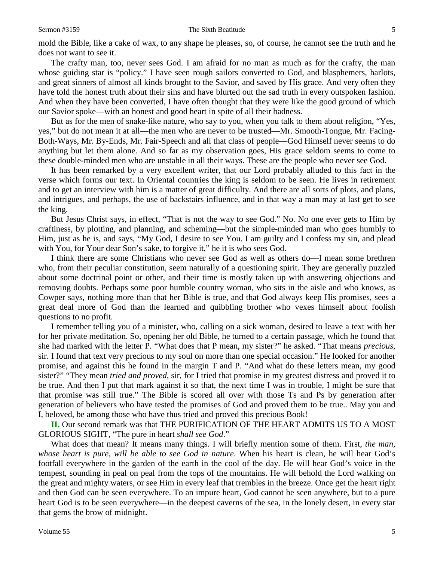The crafty man, too, never sees God. I am afraid for no man as much as for the crafty, the man whose guiding star is "policy." I have seen rough sailors converted to God, and blasphemers, harlots, and great sinners of almost all kinds brought to the Savior, and saved by His grace. And very often they have told the honest truth about their sins and have blurted out the sad truth in every outspoken fashion. And when they have been converted, I have often thought that they were like the good ground of which our Savior spoke—with an honest and good heart in spite of all their badness.

But as for the men of snake-like nature, who say to you, when you talk to them about religion, "Yes, yes," but do not mean it at all—the men who are never to be trusted—Mr. Smooth-Tongue, Mr. Facing-Both-Ways, Mr. By-Ends, Mr. Fair-Speech and all that class of people—God Himself never seems to do anything but let them alone. And so far as my observation goes, His grace seldom seems to come to these double-minded men who are unstable in all their ways. These are the people who never see God.

It has been remarked by a very excellent writer, that our Lord probably alluded to this fact in the verse which forms our text. In Oriental countries the king is seldom to be seen. He lives in retirement and to get an interview with him is a matter of great difficulty. And there are all sorts of plots, and plans, and intrigues, and perhaps, the use of backstairs influence, and in that way a man may at last get to see the king.

But Jesus Christ says, in effect, "That is not the way to see God." No. No one ever gets to Him by craftiness, by plotting, and planning, and scheming—but the simple-minded man who goes humbly to Him, just as he is, and says, "My God, I desire to see You. I am guilty and I confess my sin, and plead with You, for Your dear Son's sake, to forgive it," he it is who sees God.

I think there are some Christians who never see God as well as others do—I mean some brethren who, from their peculiar constitution, seem naturally of a questioning spirit. They are generally puzzled about some doctrinal point or other, and their time is mostly taken up with answering objections and removing doubts. Perhaps some poor humble country woman, who sits in the aisle and who knows, as Cowper says, nothing more than that her Bible is true, and that God always keep His promises, sees a great deal more of God than the learned and quibbling brother who vexes himself about foolish questions to no profit.

I remember telling you of a minister, who, calling on a sick woman, desired to leave a text with her for her private meditation. So, opening her old Bible, he turned to a certain passage, which he found that she had marked with the letter P. "What does that P mean, my sister?" he asked. "That means *precious*, sir. I found that text very precious to my soul on more than one special occasion." He looked for another promise, and against this he found in the margin T and P. "And what do these letters mean, my good sister?" "They mean *tried and proved*, sir, for I tried that promise in my greatest distress and proved it to be true. And then I put that mark against it so that, the next time I was in trouble, I might be sure that that promise was still true." The Bible is scored all over with those Ts and Ps by generation after generation of believers who have tested the promises of God and proved them to be true.. May you and I, beloved, be among those who have thus tried and proved this precious Book!

**II.** Our second remark was that THE PURIFICATION OF THE HEART ADMITS US TO A MOST GLORIOUS SIGHT, "The pure in heart *shall see God*."

What does that mean? It means many things. I will briefly mention some of them. First, *the man, whose heart is pure, will be able to see God in nature*. When his heart is clean, he will hear God's footfall everywhere in the garden of the earth in the cool of the day. He will hear God's voice in the tempest, sounding in peal on peal from the tops of the mountains. He will behold the Lord walking on the great and mighty waters, or see Him in every leaf that trembles in the breeze. Once get the heart right and then God can be seen everywhere. To an impure heart, God cannot be seen anywhere, but to a pure heart God is to be seen everywhere—in the deepest caverns of the sea, in the lonely desert, in every star that gems the brow of midnight.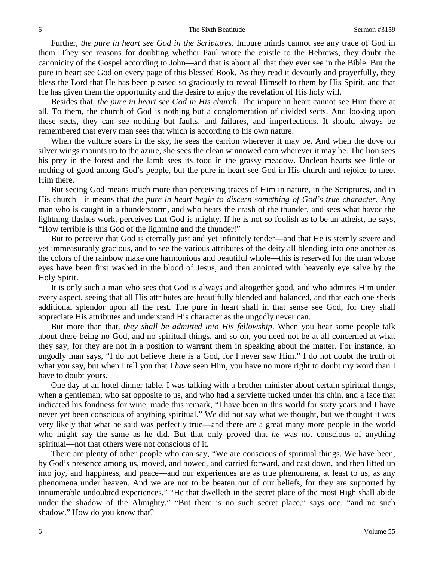Further, *the pure in heart see God in the Scriptures*. Impure minds cannot see any trace of God in them. They see reasons for doubting whether Paul wrote the epistle to the Hebrews, they doubt the canonicity of the Gospel according to John—and that is about all that they ever see in the Bible. But the pure in heart see God on every page of this blessed Book. As they read it devoutly and prayerfully, they bless the Lord that He has been pleased so graciously to reveal Himself to them by His Spirit, and that He has given them the opportunity and the desire to enjoy the revelation of His holy will.

Besides that, *the pure in heart see God in His church*. The impure in heart cannot see Him there at all. To them, the church of God is nothing but a conglomeration of divided sects. And looking upon these sects, they can see nothing but faults, and failures, and imperfections. It should always be remembered that every man sees that which is according to his own nature.

When the vulture soars in the sky, he sees the carrion wherever it may be. And when the dove on silver wings mounts up to the azure, she sees the clean winnowed corn wherever it may be. The lion sees his prey in the forest and the lamb sees its food in the grassy meadow. Unclean hearts see little or nothing of good among God's people, but the pure in heart see God in His church and rejoice to meet Him there.

But seeing God means much more than perceiving traces of Him in nature, in the Scriptures, and in His church—it means that *the pure in heart begin to discern something of God's true character*. Any man who is caught in a thunderstorm, and who hears the crash of the thunder, and sees what havoc the lightning flashes work, perceives that God is mighty. If he is not so foolish as to be an atheist, he says, "How terrible is this God of the lightning and the thunder!"

But to perceive that God is eternally just and yet infinitely tender—and that He is sternly severe and yet immeasurably gracious, and to see the various attributes of the deity all blending into one another as the colors of the rainbow make one harmonious and beautiful whole—this is reserved for the man whose eyes have been first washed in the blood of Jesus, and then anointed with heavenly eye salve by the Holy Spirit.

It is only such a man who sees that God is always and altogether good, and who admires Him under every aspect, seeing that all His attributes are beautifully blended and balanced, and that each one sheds additional splendor upon all the rest. The pure in heart shall in that sense see God, for they shall appreciate His attributes and understand His character as the ungodly never can.

But more than that, *they shall be admitted into His fellowship*. When you hear some people talk about there being no God, and no spiritual things, and so on, you need not be at all concerned at what they say, for they are not in a position to warrant them in speaking about the matter. For instance, an ungodly man says, "I do not believe there is a God, for I never saw Him." I do not doubt the truth of what you say, but when I tell you that I *have* seen Him, you have no more right to doubt my word than I have to doubt yours.

One day at an hotel dinner table, I was talking with a brother minister about certain spiritual things, when a gentleman, who sat opposite to us, and who had a serviette tucked under his chin, and a face that indicated his fondness for wine, made this remark, "I have been in this world for sixty years and I have never yet been conscious of anything spiritual." We did not say what we thought, but we thought it was very likely that what he said was perfectly true—and there are a great many more people in the world who might say the same as he did. But that only proved that *he* was not conscious of anything spiritual—not that others were not conscious of it.

There are plenty of other people who can say, "We are conscious of spiritual things. We have been, by God's presence among us, moved, and bowed, and carried forward, and cast down, and then lifted up into joy, and happiness, and peace—and our experiences are as true phenomena, at least to us, as any phenomena under heaven. And we are not to be beaten out of our beliefs, for they are supported by innumerable undoubted experiences." "He that dwelleth in the secret place of the most High shall abide under the shadow of the Almighty." "But there is no such secret place," says one, "and no such shadow." How do you know that?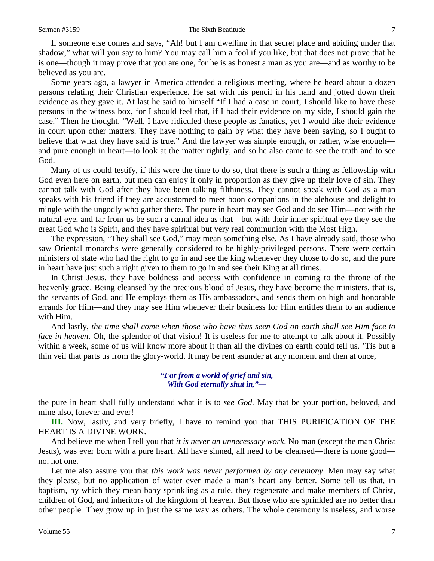#### Sermon #3159 The Sixth Beatitude 7

If someone else comes and says, "Ah! but I am dwelling in that secret place and abiding under that shadow," what will you say to him? You may call him a fool if you like, but that does not prove that he is one—though it may prove that you are one, for he is as honest a man as you are—and as worthy to be believed as you are.

Some years ago, a lawyer in America attended a religious meeting, where he heard about a dozen persons relating their Christian experience. He sat with his pencil in his hand and jotted down their evidence as they gave it. At last he said to himself "If I had a case in court, I should like to have these persons in the witness box, for I should feel that, if I had their evidence on my side, I should gain the case." Then he thought, "Well, I have ridiculed these people as fanatics, yet I would like their evidence in court upon other matters. They have nothing to gain by what they have been saying, so I ought to believe that what they have said is true." And the lawyer was simple enough, or rather, wise enough and pure enough in heart—to look at the matter rightly, and so he also came to see the truth and to see God.

Many of us could testify, if this were the time to do so, that there is such a thing as fellowship with God even here on earth, but men can enjoy it only in proportion as they give up their love of sin. They cannot talk with God after they have been talking filthiness. They cannot speak with God as a man speaks with his friend if they are accustomed to meet boon companions in the alehouse and delight to mingle with the ungodly who gather there. The pure in heart may see God and do see Him—not with the natural eye, and far from us be such a carnal idea as that—but with their inner spiritual eye they see the great God who is Spirit, and they have spiritual but very real communion with the Most High.

The expression, "They shall see God," may mean something else. As I have already said, those who saw Oriental monarchs were generally considered to be highly-privileged persons. There were certain ministers of state who had the right to go in and see the king whenever they chose to do so, and the pure in heart have just such a right given to them to go in and see their King at all times.

In Christ Jesus, they have boldness and access with confidence in coming to the throne of the heavenly grace. Being cleansed by the precious blood of Jesus, they have become the ministers, that is, the servants of God, and He employs them as His ambassadors, and sends them on high and honorable errands for Him—and they may see Him whenever their business for Him entitles them to an audience with Him.

And lastly, *the time shall come when those who have thus seen God on earth shall see Him face to face in heaven*. Oh, the splendor of that vision! It is useless for me to attempt to talk about it. Possibly within a week, some of us will know more about it than all the divines on earth could tell us. 'Tis but a thin veil that parts us from the glory-world. It may be rent asunder at any moment and then at once,

### *"Far from a world of grief and sin, With God eternally shut in,"—*

the pure in heart shall fully understand what it is to *see God.* May that be your portion, beloved, and mine also, forever and ever!

**III.** Now, lastly, and very briefly, I have to remind you that THIS PURIFICATION OF THE HEART IS A DIVINE WORK.

And believe me when I tell you that *it is never an unnecessary work*. No man (except the man Christ Jesus), was ever born with a pure heart. All have sinned, all need to be cleansed—there is none good no, not one.

Let me also assure you that *this work was never performed by any ceremony*. Men may say what they please, but no application of water ever made a man's heart any better. Some tell us that, in baptism, by which they mean baby sprinkling as a rule, they regenerate and make members of Christ, children of God, and inheritors of the kingdom of heaven. But those who are sprinkled are no better than other people. They grow up in just the same way as others. The whole ceremony is useless, and worse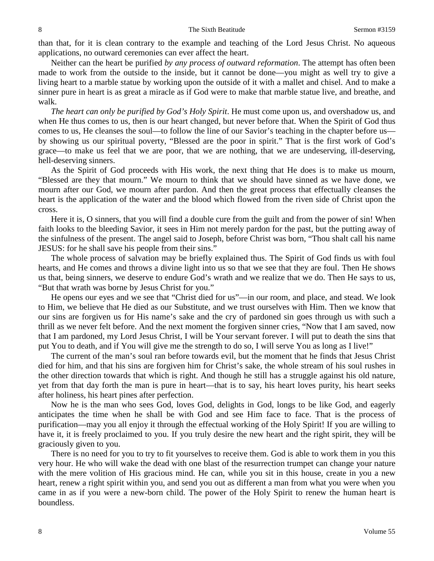than that, for it is clean contrary to the example and teaching of the Lord Jesus Christ. No aqueous applications, no outward ceremonies can ever affect the heart.

Neither can the heart be purified *by any process of outward reformation*. The attempt has often been made to work from the outside to the inside, but it cannot be done—you might as well try to give a living heart to a marble statue by working upon the outside of it with a mallet and chisel. And to make a sinner pure in heart is as great a miracle as if God were to make that marble statue live, and breathe, and walk.

*The heart can only be purified by God's Holy Spirit*. He must come upon us, and overshadow us, and when He thus comes to us, then is our heart changed, but never before that. When the Spirit of God thus comes to us, He cleanses the soul—to follow the line of our Savior's teaching in the chapter before us by showing us our spiritual poverty, "Blessed are the poor in spirit." That is the first work of God's grace—to make us feel that we are poor, that we are nothing, that we are undeserving, ill-deserving, hell-deserving sinners.

As the Spirit of God proceeds with His work, the next thing that He does is to make us mourn, "Blessed are they that mourn." We mourn to think that we should have sinned as we have done, we mourn after our God, we mourn after pardon. And then the great process that effectually cleanses the heart is the application of the water and the blood which flowed from the riven side of Christ upon the cross.

Here it is, O sinners, that you will find a double cure from the guilt and from the power of sin! When faith looks to the bleeding Savior, it sees in Him not merely pardon for the past, but the putting away of the sinfulness of the present. The angel said to Joseph, before Christ was born, "Thou shalt call his name JESUS: for he shall save his people from their sins."

The whole process of salvation may be briefly explained thus. The Spirit of God finds us with foul hearts, and He comes and throws a divine light into us so that we see that they are foul. Then He shows us that, being sinners, we deserve to endure God's wrath and we realize that we do. Then He says to us, "But that wrath was borne by Jesus Christ for you."

He opens our eyes and we see that "Christ died for us"—in our room, and place, and stead. We look to Him, we believe that He died as our Substitute, and we trust ourselves with Him. Then we know that our sins are forgiven us for His name's sake and the cry of pardoned sin goes through us with such a thrill as we never felt before. And the next moment the forgiven sinner cries, "Now that I am saved, now that I am pardoned, my Lord Jesus Christ, I will be Your servant forever. I will put to death the sins that put You to death, and if You will give me the strength to do so, I will serve You as long as I live!"

The current of the man's soul ran before towards evil, but the moment that he finds that Jesus Christ died for him, and that his sins are forgiven him for Christ's sake, the whole stream of his soul rushes in the other direction towards that which is right. And though he still has a struggle against his old nature, yet from that day forth the man is pure in heart—that is to say, his heart loves purity, his heart seeks after holiness, his heart pines after perfection.

Now he is the man who sees God, loves God, delights in God, longs to be like God, and eagerly anticipates the time when he shall be with God and see Him face to face. That is the process of purification—may you all enjoy it through the effectual working of the Holy Spirit! If you are willing to have it, it is freely proclaimed to you. If you truly desire the new heart and the right spirit, they will be graciously given to you.

There is no need for you to try to fit yourselves to receive them. God is able to work them in you this very hour. He who will wake the dead with one blast of the resurrection trumpet can change your nature with the mere volition of His gracious mind. He can, while you sit in this house, create in you a new heart, renew a right spirit within you, and send you out as different a man from what you were when you came in as if you were a new-born child. The power of the Holy Spirit to renew the human heart is boundless.